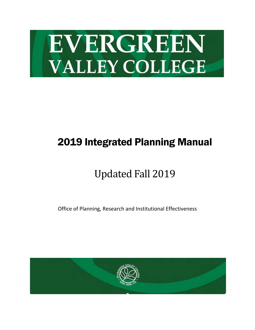

# 2019 Integrated Planning Manual

# Updated Fall 2019

Office of Planning, Research and Institutional Effectiveness

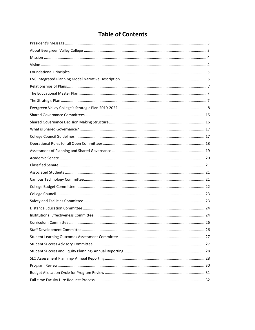## **Table of Contents**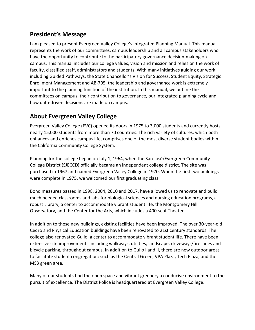### <span id="page-2-0"></span>**President's Message**

I am pleased to present Evergreen Valley College's Integrated Planning Manual. This manual represents the work of our committees, campus leadership and all campus stakeholders who have the opportunity to contribute to the participatory governance decision-making on campus. This manual includes our college values, vision and mission and relies on the work of faculty, classified staff, administrators and students. With many initiatives guiding our work, including Guided Pathways, the State Chancellor's Vision for Success, Student Equity, Strategic Enrollment Management and AB-705, the leadership and governance work is extremely important to the planning function of the institution. In this manual, we outline the committees on campus, their contribution to governance, our integrated planning cycle and how data-driven decisions are made on campus.

### <span id="page-2-1"></span>**About Evergreen Valley College**

Evergreen Valley College (EVC) opened its doors in 1975 to 3,000 students and currently hosts nearly 15,000 students from more than 70 countries. The rich variety of cultures, which both enhances and enriches campus life, comprises one of the most diverse student bodies within the California Community College System.

Planning for the college began on July 1, 1964, when the San José/Evergreen Community College District (SJECCD) officially became an independent college district. The site was purchased in 1967 and named Evergreen Valley College in 1970. When the first two buildings were complete in 1975, we welcomed our first graduating class.

Bond measures passed in 1998, 2004, 2010 and 2017, have allowed us to renovate and build much needed classrooms and labs for biological sciences and nursing education programs, a robust Library, a center to accommodate vibrant student life, the Montgomery Hill Observatory, and the Center for the Arts, which includes a 400-seat Theater.

In addition to these new buildings, existing facilities have been improved. The over 30-year-old Cedro and Physical Education buildings have been renovated to 21st century standards. The college also renovated Gullo, a center to accommodate vibrant student life. There have been extensive site improvements including walkways, utilities, landscape, driveways/fire lanes and bicycle parking, throughout campus. In addition to Gullo I and II, there are new outdoor areas to facilitate student congregation: such as the Central Green, VPA Plaza, Tech Plaza, and the MS3 green area.

Many of our students find the open space and vibrant greenery a conducive environment to the pursuit of excellence. The District Police is headquartered at Evergreen Valley College.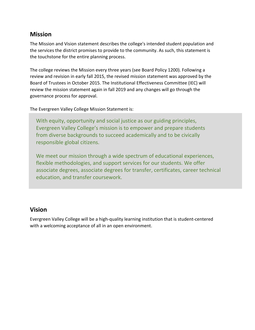### <span id="page-3-0"></span>**Mission**

The Mission and Vision statement describes the college's intended student population and the services the district promises to provide to the community. As such, this statement is the touchstone for the entire planning process.

The college reviews the Mission every three years (see Board Policy 1200). Following a review and revision in early fall 2015, the revised mission statement was approved by the Board of Trustees in October 2015. The Institutional Effectiveness Committee (IEC) will review the mission statement again in fall 2019 and any changes will go through the governance process for approval.

The Evergreen Valley College Mission Statement is:

With equity, opportunity and social justice as our guiding principles, Evergreen Valley College's mission is to empower and prepare students from diverse backgrounds to succeed academically and to be civically responsible global citizens.

We meet our mission through a wide spectrum of educational experiences, flexible methodologies, and support services for our students. We offer associate degrees, associate degrees for transfer, certificates, career technical education, and transfer coursework.

### <span id="page-3-1"></span>**Vision**

Evergreen Valley College will be a high-quality learning institution that is student-centered with a welcoming acceptance of all in an open environment.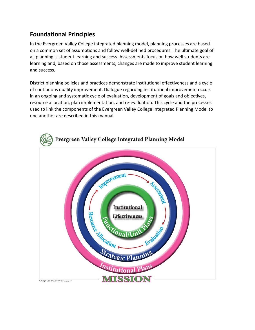### <span id="page-4-0"></span>**Foundational Principles**

In the Evergreen Valley College integrated planning model, planning processes are based on a common set of assumptions and follow well-defined procedures. The ultimate goal of all planning is student learning and success. Assessments focus on how well students are learning and, based on those assessments, changes are made to improve student learning and success.

District planning policies and practices demonstrate institutional effectiveness and a cycle of continuous quality improvement. Dialogue regarding institutional improvement occurs in an ongoing and systematic cycle of evaluation, development of goals and objectives, resource allocation, plan implementation, and re-evaluation. This cycle and the processes used to link the components of the Evergreen Valley College Integrated Planning Model to one another are described in this manual.

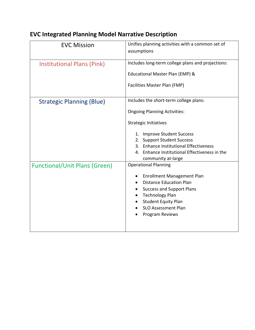| <b>EVC Mission</b>                   | Unifies planning activities with a common set of<br>assumptions                                                                                                                                                                                                                            |
|--------------------------------------|--------------------------------------------------------------------------------------------------------------------------------------------------------------------------------------------------------------------------------------------------------------------------------------------|
| <b>Institutional Plans (Pink)</b>    | Includes long-term college plans and projections:<br>Educational Master Plan (EMP) &<br>Facilities Master Plan (FMP)                                                                                                                                                                       |
| <b>Strategic Planning (Blue)</b>     | Includes the short-term college plans:<br><b>Ongoing Planning Activities:</b><br><b>Strategic Initiatives</b><br>1. Improve Student Success<br>2. Support Student Success<br>3. Enhance Institutional Effectiveness<br>4. Enhance Institutional Effectiveness in the<br>community at-large |
| <b>Functional/Unit Plans (Green)</b> | <b>Operational Planning</b><br><b>Enrollment Management Plan</b><br><b>Distance Education Plan</b><br><b>Success and Support Plans</b><br><b>Technology Plan</b><br><b>Student Equity Plan</b><br><b>SLO Assessment Plan</b><br>Program Reviews                                            |

## <span id="page-5-0"></span>**EVC Integrated Planning Model Narrative Description**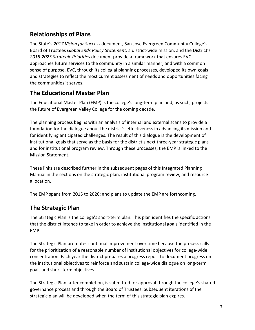### <span id="page-6-0"></span>**Relationships of Plans**

The State's *2017 Vision for Success* document, San Jose Evergreen Community College's Board of Trustees *Global Ends Policy Statement,* a district-wide mission, and the District's *2018-2025 Strategic Priorities* document provide a framework that ensures EVC approaches future services to the community in a similar manner, and with a common sense of purpose. EVC, through its collegial planning processes, developed its own goals and strategies to reflect the most current assessment of needs and opportunities facing the communities it serves.

### <span id="page-6-1"></span>**The Educational Master Plan**

The Educational Master Plan (EMP) is the college's long-term plan and, as such, projects the future of Evergreen Valley College for the coming decade.

The planning process begins with an analysis of internal and external scans to provide a foundation for the dialogue about the district's effectiveness in advancing its mission and for identifying anticipated challenges. The result of this dialogue is the development of institutional goals that serve as the basis for the district's next three-year strategic plans and for institutional program review. Through these processes, the EMP is linked to the Mission Statement.

These links are described further in the subsequent pages of this Integrated Planning Manual in the sections on the strategic plan, institutional program review, and resource allocation.

The EMP spans from 2015 to 2020; and plans to update the EMP are forthcoming.

### <span id="page-6-2"></span>**The Strategic Plan**

The Strategic Plan is the college's short-term plan. This plan identifies the specific actions that the district intends to take in order to achieve the institutional goals identified in the EMP.

The Strategic Plan promotes continual improvement over time because the process calls for the prioritization of a reasonable number of institutional objectives for college-wide concentration. Each year the district prepares a progress report to document progress on the institutional objectives to reinforce and sustain college-wide dialogue on long-term goals and short-term objectives.

The Strategic Plan, after completion, is submitted for approval through the college's shared governance process and through the Board of Trustees. Subsequent iterations of the strategic plan will be developed when the term of this strategic plan expires.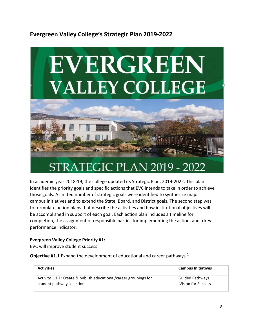### <span id="page-7-0"></span>**Evergreen Valley College's Strategic Plan 2019-2022**



In academic year 2018-19, the college updated its Strategic Plan, 2019-2022. This plan identifies the priority goals and specific actions that EVC intends to take in order to achieve those goals. A limited number of strategic goals were identified to synthesize major campus initiatives and to extend the State, Board, and District goals. The second step was to formulate action plans that describe the activities and how institutional objectives will be accomplished in support of each goal. Each action plan includes a timeline for completion, the assignment of responsible parties for implementing the action, and a key performance indicator.

#### **Evergreen Valley College Priority #1:**

EVC will improve student success

**Objective #1.1** Expand the development of educational and career pathways.1

| <b>Activities</b>                                                 | <b>Campus Initiatives</b> |
|-------------------------------------------------------------------|---------------------------|
| Activity 1.1.1: Create & publish educational/career groupings for | <b>Guided Pathways</b>    |
| student pathway selection.                                        | Vision for Success        |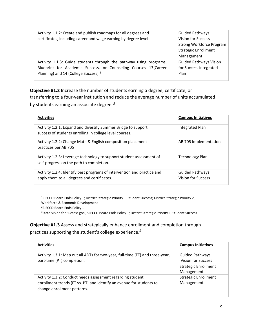| Activity 1.1.2: Create and publish roadmaps for all degrees and    | <b>Guided Pathways</b>          |
|--------------------------------------------------------------------|---------------------------------|
| certificates, including career and wage earning by degree level.   | Vision for Success              |
|                                                                    | <b>Strong Workforce Program</b> |
|                                                                    | <b>Strategic Enrollment</b>     |
|                                                                    | Management                      |
| Activity 1.1.3: Guide students through the pathway using programs, | <b>Guided Pathways Vision</b>   |
| Blueprint for Academic Success, or Counseling Courses 13(Career    | for Success Integrated          |
| Planning) and 14 (College Success). <sup>2</sup>                   | Plan                            |
|                                                                    |                                 |

**Objective #1.2** Increase the number of students earning a degree, certificate, or transferring to a four-year institution and reduce the average number of units accumulated by students earning an associate degree.<sup>3</sup>

| <b>Activities</b>                                                                                                        | <b>Campus Initiatives</b>                    |
|--------------------------------------------------------------------------------------------------------------------------|----------------------------------------------|
| Activity 1.2.1: Expand and diversify Summer Bridge to support<br>success of students enrolling in college level courses. | Integrated Plan                              |
| Activity 1.2.2: Change Math & English composition placement<br>practices per AB 705                                      | AB 705 Implementation                        |
| Activity 1.2.3: Leverage technology to support student assessment of<br>self-progress on the path to completion.         | Technology Plan                              |
| Activity 1.2.4: Identify best programs of intervention and practice and<br>apply them to all degrees and certificates.   | <b>Guided Pathways</b><br>Vision for Success |

1SJECCD Board Ends Policy 1; District Strategic Priority 1, Student Success; District Strategic Priority 2, Workforce & Economic Development 2SJECCD Board Ends Policy 1 <sup>3</sup>State Vision for Success goal; SJECCD Board Ends Policy 1; District Strategic Priority 1, Student Success

**Objective #1.3** Assess and strategically enhance enrollment and completion through practices supporting the student's college experience.4

| <b>Activities</b>                                                                                                                                                 | <b>Campus Initiatives</b>                                                                        |
|-------------------------------------------------------------------------------------------------------------------------------------------------------------------|--------------------------------------------------------------------------------------------------|
| Activity 1.3.1: Map out all ADTs for two-year, full-time (FT) and three-year,<br>part-time (PT) completion.                                                       | <b>Guided Pathways</b><br><b>Vision for Success</b><br><b>Strategic Enrollment</b><br>Management |
| Activity 1.3.2: Conduct needs assessment regarding student<br>enrollment trends (FT vs. PT) and identify an avenue for students to<br>change enrollment patterns. | <b>Strategic Enrollment</b><br>Management                                                        |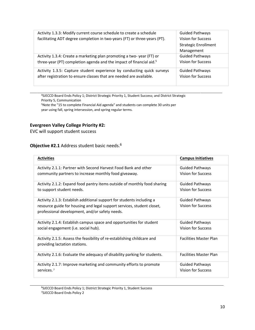| Activity 1.3.3: Modify current course schedule to create a schedule             | <b>Guided Pathways</b>      |
|---------------------------------------------------------------------------------|-----------------------------|
| facilitating ADT degree completion in two-years (FT) or three-years (PT).       | <b>Vision for Success</b>   |
|                                                                                 | <b>Strategic Enrollment</b> |
|                                                                                 | Management                  |
| Activity 1.3.4: Create a marketing plan promoting a two-year (FT) or            | <b>Guided Pathways</b>      |
| three-year (PT) completion agenda and the impact of financial aid. <sup>5</sup> | <b>Vision for Success</b>   |
| Activity 1.3.5: Capture student experience by conducting quick surveys          | <b>Guided Pathways</b>      |
| after registration to ensure classes that are needed are available.             | <b>Vision for Success</b>   |
|                                                                                 |                             |

4SJECCD Board Ends Policy 1; District Strategic Priority 1, Student Success; and District Strategic Priority 5, Communication 5Note the "15 to complete Financial Aid agenda" and students can complete 30 units per

year using fall, spring intersession, and spring regular terms.

#### **Evergreen Valley College Priority #2:**

EVC will support student success

#### **Objective #2.1** Address student basic needs.6

| <b>Activities</b>                                                                                                                                                                                 | <b>Campus Initiatives</b>                           |
|---------------------------------------------------------------------------------------------------------------------------------------------------------------------------------------------------|-----------------------------------------------------|
| Activity 2.1.1: Partner with Second Harvest Food Bank and other                                                                                                                                   | <b>Guided Pathways</b>                              |
| community partners to increase monthly food giveaway.                                                                                                                                             | <b>Vision for Success</b>                           |
| Activity 2.1.2: Expand food pantry items outside of monthly food sharing                                                                                                                          | <b>Guided Pathways</b>                              |
| to support student needs.                                                                                                                                                                         | <b>Vision for Success</b>                           |
| Activity 2.1.3: Establish additional support for students including a<br>resource guide for housing and legal support services, student closet,<br>professional development, and/or safety needs. | <b>Guided Pathways</b><br><b>Vision for Success</b> |
| Activity 2.1.4: Establish campus space and opportunities for student                                                                                                                              | <b>Guided Pathways</b>                              |
| social engagement (i.e. social hub).                                                                                                                                                              | <b>Vision for Success</b>                           |
| Activity 2.1.5: Assess the feasibility of re-establishing childcare and<br>providing lactation stations.                                                                                          | <b>Facilities Master Plan</b>                       |
| Activity 2.1.6: Evaluate the adequacy of disability parking for students.                                                                                                                         | <b>Facilities Master Plan</b>                       |
| Activity 2.1.7: Improve marketing and community efforts to promote                                                                                                                                | <b>Guided Pathways</b>                              |
| services. <sup>7</sup>                                                                                                                                                                            | <b>Vision for Success</b>                           |

6SJECCD Board Ends Policy 1; District Strategic Priority 1, Student Success 7SJECCD Board Ends Policy 2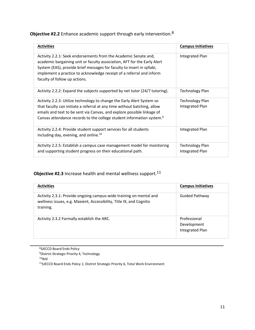| <b>Objective #2.2</b> Enhance academic support through early intervention. <sup>8</sup> |  |  |
|-----------------------------------------------------------------------------------------|--|--|
|-----------------------------------------------------------------------------------------|--|--|

| <b>Activities</b>                                                                                                                                                                                                                                                                                                              | <b>Campus Initiatives</b>                 |
|--------------------------------------------------------------------------------------------------------------------------------------------------------------------------------------------------------------------------------------------------------------------------------------------------------------------------------|-------------------------------------------|
| Activity 2.2.1: Seek endorsements from the Academic Senate and,<br>academic bargaining unit or faculty association, AFT for the Early Alert<br>System (EAS), provide brief messages for faculty to insert in syllabi,<br>implement a practice to acknowledge receipt of a referral and inform<br>faculty of follow up actions. | Integrated Plan                           |
| Activity 2.2.2: Expand the subjects supported by net tutor (24/7 tutoring).                                                                                                                                                                                                                                                    | <b>Technology Plan</b>                    |
| Activity 2.2.3: Utilize technology to change the Early Alert System so<br>that faculty can initiate a referral at any time without batching, allow<br>emails and text to be sent via Canvas, and explore possible linkage of<br>Canvas attendance records to the college student information system. <sup>9</sup>              | Technology Plan<br>Integrated Plan        |
| Activity 2.2.4: Provide student support services for all students<br>including day, evening, and online. <sup>10</sup>                                                                                                                                                                                                         | Integrated Plan                           |
| Activity 2.2.5: Establish a campus case management model for monitoring<br>and supporting student progress on their educational path.                                                                                                                                                                                          | <b>Technology Plan</b><br>Integrated Plan |

### **Objective #2.3** Increase health and mental wellness support.<sup>11</sup>

| <b>Activities</b>                                                                                                                                      | <b>Campus Initiatives</b>                      |
|--------------------------------------------------------------------------------------------------------------------------------------------------------|------------------------------------------------|
| Activity 2.3.1: Provide ongoing campus-wide training on mental and<br>wellness issues, e.g. Maxient, Accessibility, Title IX, and Cognito<br>training. | Guided Pathway                                 |
| Activity 2.3.2 Formally establish the ARC.                                                                                                             | Professional<br>Development<br>Integrated Plan |

8SJECCD Board Ends Policy 9District Strategic Priority 4, Technology  $10$ Ibid 11SJECCD Board Ends Policy 1; District Strategic Priority 6, Total Work Environment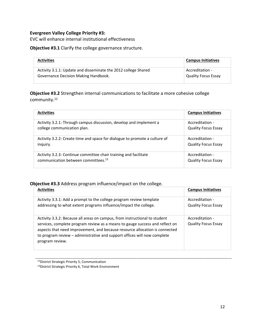#### **Evergreen Valley College Priority #3:**

EVC will enhance internal institutional effectiveness

#### **Objective #3.1** Clarify the college governance structure.

| <b>Activities</b>                                              | <b>Campus Initiatives</b>  |
|----------------------------------------------------------------|----------------------------|
| Activity 3.1.1: Update and disseminate the 2012 college Shared | Accreditation -            |
| Governance Decision Making Handbook.                           | <b>Quality Focus Essay</b> |

**Objective #3.2** Strengthen internal communications to facilitate a more cohesive college community.12

| <b>Activities</b>                                                          | <b>Campus Initiatives</b>  |
|----------------------------------------------------------------------------|----------------------------|
| Activity 3.2.1: Through campus discussion, develop and implement a         | Accreditation -            |
| college communication plan.                                                | <b>Quality Focus Essay</b> |
| Activity 3.2.2: Create time and space for dialogue to promote a culture of | Accreditation -            |
| inquiry.                                                                   | <b>Quality Focus Essay</b> |
| Activity 3.2.3: Continue committee chair training and facilitate           | Accreditation -            |
| communication between committees. <sup>13</sup>                            | <b>Quality Focus Essay</b> |

#### **Objective #3.3** Address program influence/impact on the college.

| <b>Activities</b>                                                                                                                                                                                                                                                                                                                        | <b>Campus Initiatives</b>                     |
|------------------------------------------------------------------------------------------------------------------------------------------------------------------------------------------------------------------------------------------------------------------------------------------------------------------------------------------|-----------------------------------------------|
| Activity 3.3.1: Add a prompt to the college program review template<br>addressing to what extent programs influence/impact the college.                                                                                                                                                                                                  | Accreditation -<br><b>Quality Focus Essay</b> |
| Activity 3.3.2: Because all areas on campus, from instructional to student<br>services, complete program review as a means to gauge success and reflect on<br>aspects that need improvement, and because resource allocation is connected<br>to program review - administrative and support offices will now complete<br>program review. | Accreditation -<br><b>Quality Focus Essay</b> |

12District Strategic Priority 5, Communication 13District Strategic Priority 6, Total Work Environment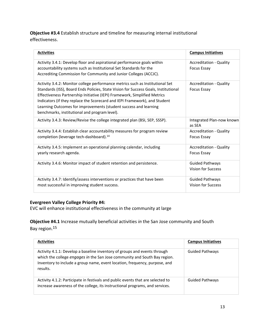**Objective #3.4** Establish structure and timeline for measuring internal institutional effectiveness.

| <b>Activities</b>                                                                   | <b>Campus Initiatives</b>           |
|-------------------------------------------------------------------------------------|-------------------------------------|
| Activity 3.4.1: Develop floor and aspirational performance goals within             | <b>Accreditation - Quality</b>      |
| accountability systems such as Institutional Set Standards for the                  | <b>Focus Essay</b>                  |
| Accrediting Commission for Community and Junior Colleges (ACCJC).                   |                                     |
| Activity 3.4.2: Monitor college performance metrics such as Institutional Set       | <b>Accreditation - Quality</b>      |
| Standards (ISS), Board Ends Policies, State Vision for Success Goals, Institutional | <b>Focus Essay</b>                  |
| Effectiveness Partnership Initiative (IEPI) Framework, Simplified Metrics           |                                     |
| Indicators (if they replace the Scorecard and IEPI Framework), and Student          |                                     |
| Learning Outcomes for improvements (student success and learning                    |                                     |
| benchmarks, institutional and program level).                                       |                                     |
| Activity 3.4.3: Review/Revise the college integrated plan (BSI, SEP, SSSP).         | Integrated Plan-now known<br>as SEA |
| Activity 3.4.4: Establish clear accountability measures for program review          | <b>Accreditation - Quality</b>      |
| completion (leverage tech-dashboard). <sup>14</sup>                                 | <b>Focus Essay</b>                  |
| Activity 3.4.5: Implement an operational planning calendar, including               | <b>Accreditation - Quality</b>      |
| yearly research agenda.                                                             | <b>Focus Essay</b>                  |
| Activity 3.4.6: Monitor impact of student retention and persistence.                | <b>Guided Pathways</b>              |
|                                                                                     | Vision for Success                  |
| Activity 3.4.7: Identify/assess interventions or practices that have been           | <b>Guided Pathways</b>              |
| most successful in improving student success.                                       | Vision for Success                  |

#### **Evergreen Valley College Priority #4:**

EVC will enhance institutional effectiveness in the community at large

**Objective #4.1** Increase mutually beneficial activities *in* the San Jose community and South Bay region.15

| <b>Activities</b>                                                                                                                                                                                                                                | <b>Campus Initiatives</b> |
|--------------------------------------------------------------------------------------------------------------------------------------------------------------------------------------------------------------------------------------------------|---------------------------|
| Activity 4.1.1: Develop a baseline inventory of groups and events through<br>which the college engages in the San Jose community and South Bay region.<br>Inventory to include a group name, event location, frequency, purpose, and<br>results. | <b>Guided Pathways</b>    |
| Activity 4.1.2: Participate in festivals and public events that are selected to<br>increase awareness of the college, its instructional programs, and services.                                                                                  | <b>Guided Pathways</b>    |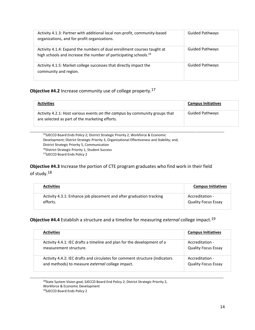| Activity 4.1.3: Partner with additional local non-profit, community-based<br>organizations, and for-profit organizations.                               | <b>Guided Pathways</b> |
|---------------------------------------------------------------------------------------------------------------------------------------------------------|------------------------|
| Activity 4.1.4: Expand the numbers of dual enrollment courses taught at<br>high schools and increase the number of participating schools. <sup>16</sup> | <b>Guided Pathways</b> |
| Activity 4.1.5: Market college successes that directly impact the<br>community and region.                                                              | <b>Guided Pathways</b> |

#### **Objective #4.2** Increase community use of college property.17

| <b>Activities</b>                                                                                                            | <b>Campus Initiatives</b> |
|------------------------------------------------------------------------------------------------------------------------------|---------------------------|
| Activity 4.2.1: Host various events on the campus by community groups that<br>are selected as part of the marketing efforts. | <b>Guided Pathways</b>    |

15SJECCD Board Ends Policy 2; District Strategic Priority 2, Workforce & Economic Development; District Strategic Priority 3, Organizational Effectiveness and Stability; and, District Strategic Priority 5, Communication <sup>16</sup>District Strategic Priority 1, Student Success 17SJECCD Board Ends Policy 2

**Objective #4.3** Increase the portion of CTE program graduates who find work in their field of study.18

| <b>Activities</b>                                                   | <b>Campus Initiatives</b>  |
|---------------------------------------------------------------------|----------------------------|
| Activity 4.3.1: Enhance job placement and after graduation tracking | Accreditation -            |
| efforts.                                                            | <b>Quality Focus Essay</b> |

**Objective #4.4** Establish a structure and a timeline for measuring *external* college impact.19

| <b>Activities</b>                                                           | <b>Campus Initiatives</b>  |
|-----------------------------------------------------------------------------|----------------------------|
| Activity 4.4.1: IEC drafts a timeline and plan for the development of a     | Accreditation -            |
| measurement structure.                                                      | <b>Quality Focus Essay</b> |
| Activity 4.4.2: IEC drafts and circulates for comment structure (indicators | Accreditation -            |
| and methods) to measure external college impact.                            | <b>Quality Focus Essay</b> |

<sup>18</sup>State System Vision goal; SJECCD Board End Policy 2; District Strategic Priority 2, Workforce & Economic Development

19SJECCD Board Ends Policy 2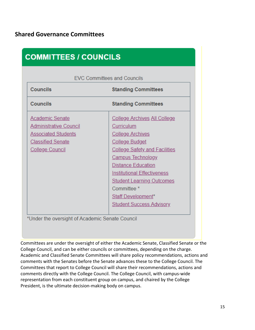<span id="page-14-0"></span>

| <b>COMMITTEES / COUNCILS</b>                  |                                      |
|-----------------------------------------------|--------------------------------------|
| <b>EVC Committees and Councils</b>            |                                      |
| <b>Councils</b><br><b>Standing Committees</b> |                                      |
| <b>Councils</b>                               | <b>Standing Committees</b>           |
| <b>Academic Senate</b>                        | College Archives All College         |
| Administrative Council                        | Curriculum                           |
| <b>Associated Students</b>                    | <b>College Archives</b>              |
| <b>Classified Senate</b>                      | <b>College Budget</b>                |
| <b>College Council</b>                        | <b>College Safety and Facilities</b> |
|                                               | <b>Campus Technology</b>             |
|                                               | <b>Distance Education</b>            |
|                                               | <b>Institutional Effectiveness</b>   |
|                                               | <b>Student Learning Outcomes</b>     |
|                                               | Committee <sup>*</sup>               |
|                                               | <b>Staff Development*</b>            |
|                                               | <b>Student Success Advisory</b>      |
|                                               |                                      |

Committees are under the oversight of either the Academic Senate, Classified Senate or the College Council, and can be either councils or committees, depending on the charge. Academic and Classified Senate Committees will share policy recommendations, actions and comments with the Senates before the Senate advances these to the College Council. The Committees that report to College Council will share their recommendations, actions and comments directly with the College Council. The College Council, with campus-wide representation from each constituent group on campus, and chaired by the College President, is the ultimate decision-making body on campus.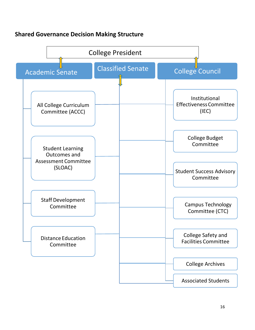### <span id="page-15-0"></span>**Shared Governance Decision Making Structure**

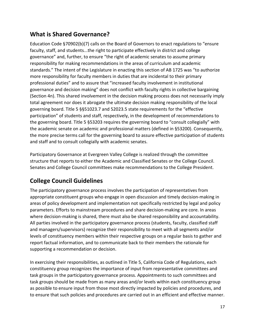### <span id="page-16-0"></span>**What is Shared Governance?**

Education Code §70902(b)(7) calls on the Board of Governors to enact regulations to "ensure faculty, staff, and students...the right to participate effectively in district and college governance" and, further, to ensure "the right of academic senates to assume primary responsibility for making recommendations in the areas of curriculum and academic standards." The intent of the Legislature in enacting this section of AB 1725 was "to authorize more responsibility for faculty members in duties that are incidental to their primary professional duties" and to assure that "increased faculty involvement in institutional governance and decision making" does not conflict with faculty rights in collective bargaining (Section 4n). This shared involvement in the decision making process does not necessarily imply total agreement nor does it abrogate the ultimate decision making responsibility of the local governing board. Title 5 §§51023.7 and 52023.5 state requirements for the "effective participation" of students and staff, respectively, in the development of recommendations to the governing board. Title 5 §53203 requires the governing board to "consult collegially" with the academic senate on academic and professional matters (defined in §53200). Consequently, the more precise terms call for the governing board to assure effective participation of students and staff and to consult collegially with academic senates.

Participatory Governance at Evergreen Valley College is realized through the committee structure that reports to either the Academic and Classified Senates or the College Council. Senates and College Council committees make recommendations to the College President.

### <span id="page-16-1"></span>**College Council Guidelines**

The participatory governance process involves the participation of representatives from appropriate constituent groups who engage in open discussion and timely decision-making in areas of policy development and implementation not specifically restricted by legal and policy parameters. Efforts to mainstream procedures and share decision-making are core. In areas where decision-making is shared, there must also be shared responsibility and accountability. All parties involved in the participatory governance process (students, faculty, classified staff and managers/supervisors) recognize their responsibility to meet with all segments and/or levels of constituency members within their respective groups on a regular basis to gather and report factual information, and to communicate back to their members the rationale for supporting a recommendation or decision.

In exercising their responsibilities, as outlined in Title 5, California Code of Regulations, each constituency group recognizes the importance of input from representative committees and task groups in the participatory governance process. Appointments to such committees and task groups should be made from as many areas and/or levels within each constituency group as possible to ensure input from those most directly impacted by policies and procedures, and to ensure that such policies and procedures are carried out in an efficient and effective manner.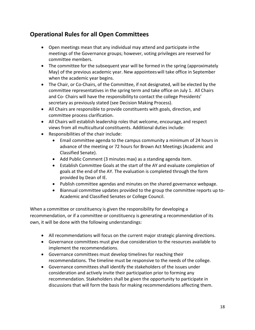### <span id="page-17-0"></span>**Operational Rules for all Open Committees**

- Open meetings mean that any individual may attend and participate inthe meetings of the Governance groups; however, voting privileges are reserved for committee members.
- The committee for the subsequent year will be formed in the spring (approximately May) of the previous academic year. New appointeeswill take office in September when the academic year begins.
- The Chair, or Co-Chairs, of the Committee, if not designated, will be elected by the committee representatives in the spring term and take office on July 1. All Chairs and Co- Chairs will have the responsibility to contact the college Presidents' secretary as previously stated (see Decision Making Process).
- All Chairs are responsible to provide constituents with goals, direction, and committee process clarification.
- All Chairs will establish leadership roles that welcome, encourage, and respect views from all multicultural constituents. Additional duties include:
- Responsibilities of the chair include:
	- Email committee agenda to the campus community a minimum of 24 hours in advance of the meeting or 72 hours for Brown Act Meetings (Academic and Classified Senate).
	- Add Public Comment (3 minutes max) as a standing agenda item.
	- Establish Committee Goals at the start of the AY and evaluate completion of goals at the end of the AY. The evaluation is completed through the form provided by Dean of IE.
	- Publish committee agendas and minutes on the shared governance webpage.
	- Biannual committee updates provided to the group the committee reports up to-Academic and Classified Senates or College Council.

When a committee or constituency is given the responsibility for developing a recommendation, or if a committee or constituency is generating a recommendation of its own, it will be done with the following understandings:

- All recommendations will focus on the current major strategic planning directions.
- Governance committees must give due consideration to the resources available to implement the recommendations.
- Governance committees must develop timelines for reaching their recommendations. The timeline must be responsive to the needs of the college.
- Governance committees shall identify the stakeholders of the issues under consideration and actively invite their participation prior to forming any recommendation. Stakeholders shall be given the opportunity to participate in discussions that will form the basis for making recommendations affecting them.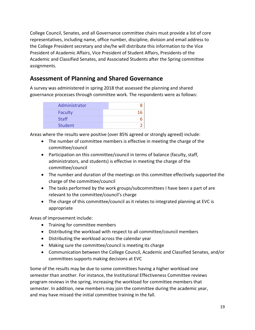College Council, Senates, and all Governance committee chairs must provide a list of core representatives, including name, office number, discipline, division and email address to the College President secretary and she/he will distribute this information to the Vice President of Academic Affairs, Vice President of Student Affairs, Presidents of the Academic and Classified Senates, and Associated Students after the Spring committee assignments.

### <span id="page-18-0"></span>**Assessment of Planning and Shared Governance**

A survey was administered in spring 2018 that assessed the planning and shared governance processes through committee work. The respondents were as follows:

| Administrator |  |
|---------------|--|
| Faculty       |  |
| <b>Staff</b>  |  |
| Student       |  |

Areas where the results were positive (over 85% agreed or strongly agreed) include:

- The number of committee members is effective in meeting the charge of the committee/council
- Participation on this committee/council in terms of balance (faculty, staff, administrators, and students) is effective in meeting the charge of the committee/council
- The number and duration of the meetings on this committee effectively supported the charge of the committee/council
- The tasks performed by the work groups/subcommittees I have been a part of are relevant to the committee/council's charge
- The charge of this committee/council as it relates to integrated planning at EVC is appropriate

Areas of improvement include:

- Training for committee members
- Distributing the workload with respect to all committee/council members
- Distributing the workload across the calendar year
- Making sure the committee/council is meeting its charge
- Communication between the College Council, Academic and Classified Senates, and/or committees supports making decisions at EVC

Some of the results may be due to some committees having a higher workload one semester than another. For instance, the Institutional Effectiveness Committee reviews program reviews in the spring, increasing the workload for committee members that semester. In addition, new members may join the committee during the academic year, and may have missed the initial committee training in the fall.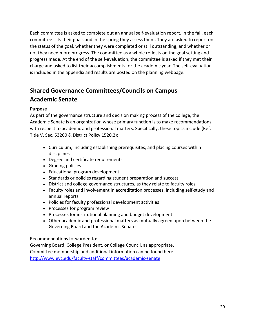Each committee is asked to complete out an annual self-evaluation report. In the fall, each committee lists their goals and in the spring they assess them. They are asked to report on the status of the goal, whether they were completed or still outstanding, and whether or not they need more progress. The committee as a whole reflects on the goal setting and progress made. At the end of the self-evaluation, the committee is asked if they met their charge and asked to list their accomplishments for the academic year. The self-evaluation is included in the appendix and results are posted on the planning webpage.

### <span id="page-19-0"></span>**Shared Governance Committees/Councils on Campus Academic Senate**

#### **Purpose**

As part of the governance structure and decision making process of the college, the Academic Senate is an organization whose primary function is to make recommendations with respect to academic and professional matters. Specifically, these topics include (Ref. Title V, Sec. 53200 & District Policy 1520.2):

- Curriculum, including establishing prerequisites, and placing courses within disciplines
- Degree and certificate requirements
- Grading policies
- Educational program development
- Standards or policies regarding student preparation and success
- District and college governance structures, as they relate to faculty roles
- Faculty roles and involvement in accreditation processes, including self-study and annual reports
- Policies for faculty professional development activities
- Processes for program review
- Processes for institutional planning and budget development
- Other academic and professional matters as mutually agreed upon between the Governing Board and the Academic Senate

#### Recommendations forwarded to:

Governing Board, College President, or College Council, as appropriate. Committee membership and additional information can be found here: <http://www.evc.edu/faculty-staff/committees/academic-senate>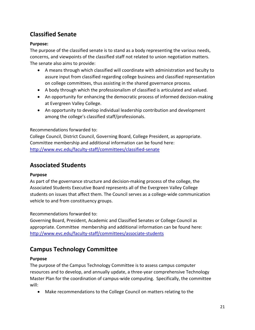### <span id="page-20-0"></span>**Classified Senate**

#### **Purpose:**

The purpose of the classified senate is to stand as a body representing the various needs, concerns, and viewpoints of the classified staff not related to union negotiation matters. The senate also aims to provide:

- A means through which classified will coordinate with administration and faculty to assure input from classified regarding college business and classified representation on college committees, thus assisting in the shared governance process.
- A body through which the professionalism of classified is articulated and valued.
- An opportunity for enhancing the democratic process of informed decision-making at Evergreen Valley College.
- An opportunity to develop individual leadership contribution and development among the college's classified staff/professionals.

#### Recommendations forwarded to:

College Council, District Council, Governing Board, College President, as appropriate. Committee membership and additional information can be found here: <http://www.evc.edu/faculty-staff/committees/classified-senate>

### <span id="page-20-1"></span>**Associated Students**

#### **Purpose**

As part of the governance structure and decision-making process of the college, the Associated Students Executive Board represents all of the Evergreen Valley College students on issues that affect them. The Council serves as a college-wide communication vehicle to and from constituency groups.

Recommendations forwarded to:

Governing Board, President, Academic and Classified Senates or College Council as appropriate. Committee membership and additional information can be found here: <http://www.evc.edu/faculty-staff/committees/associate-students>

### <span id="page-20-2"></span>**Campus Technology Committee**

#### **Purpose**

The purpose of the Campus Technology Committee is to assess campus computer resources and to develop, and annually update, a three-year comprehensive Technology Master Plan for the coordination of campus-wide computing. Specifically, the committee will:

• Make recommendations to the College Council on matters relating to the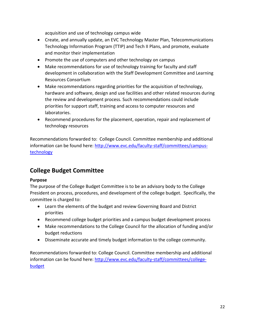acquisition and use of technology campus wide

- Create, and annually update, an EVC Technology Master Plan, Telecommunications Technology Information Program (TTIP) and Tech II Plans, and promote, evaluate and monitor their implementation
- Promote the use of computers and other technology on campus
- Make recommendations for use of technology training for faculty and staff development in collaboration with the Staff Development Committee and Learning Resources Consortium
- Make recommendations regarding priorities for the acquisition of technology, hardware and software, design and use facilities and other related resources during the review and development process. Such recommendations could include priorities for support staff, training and access to computer resources and laboratories.
- Recommend procedures for the placement, operation, repair and replacement of technology resources

Recommendations forwarded to: College Council. Committee membership and additional information can be found here: [http://www.evc.edu/faculty-staff/committees/campus](http://www.evc.edu/faculty-staff/committees/campus-technology)[technology](http://www.evc.edu/faculty-staff/committees/campus-technology)

### <span id="page-21-0"></span>**College Budget Committee**

#### **Purpose**

The purpose of the College Budget Committee is to be an advisory body to the College President on process, procedures, and development of the college budget. Specifically, the committee is charged to:

- Learn the elements of the budget and review Governing Board and District priorities
- Recommend college budget priorities and a campus budget development process
- Make recommendations to the College Council for the allocation of funding and/or budget reductions
- Disseminate accurate and timely budget information to the college community.

<span id="page-21-1"></span>Recommendations forwarded to: College Council. Committee membership and additional information can be found here: [http://www.evc.edu/faculty-staff/committees/college](http://www.evc.edu/faculty-staff/committees/college-budget)[budget](http://www.evc.edu/faculty-staff/committees/college-budget)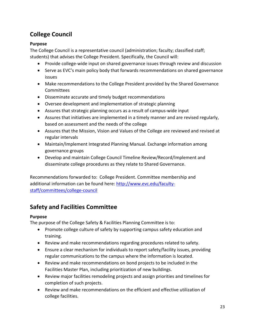### **College Council**

#### **Purpose**

The College Council is a representative council (administration; faculty; classified staff; students) that advises the College President. Specifically, the Council will:

- Provide college-wide input on shared governance issues through review and discussion
- Serve as EVC's main policy body that forwards recommendations on shared governance issues
- Make recommendations to the College President provided by the Shared Governance Committees
- Disseminate accurate and timely budget recommendations
- Oversee development and implementation of strategic planning
- Assures that strategic planning occurs as a result of campus-wide input
- Assures that initiatives are implemented in a timely manner and are revised regularly, based on assessment and the needs of the college
- Assures that the Mission, Vision and Values of the College are reviewed and revised at regular intervals
- Maintain/Implement Integrated Planning Manual. Exchange information among governance groups
- Develop and maintain College Council Timeline Review/Record/Implement and disseminate college procedures as they relate to Shared Governance.

Recommendations forwarded to: College President. Committee membership and additional information can be found here: [http://www.evc.edu/faculty](http://www.evc.edu/faculty-staff/committees/college-council)[staff/committees/college-council](http://www.evc.edu/faculty-staff/committees/college-council)

### <span id="page-22-0"></span>**Safety and Facilities Committee**

#### **Purpose**

The purpose of the College Safety & Facilities Planning Committee is to:

- Promote college culture of safety by supporting campus safety education and training.
- Review and make recommendations regarding procedures related to safety.
- Ensure a clear mechanism for individuals to report safety/facility issues, providing regular communications to the campus where the information is located.
- Review and make recommendations on bond projects to be included in the Facilities Master Plan, including prioritization of new buildings.
- Review major facilities remodeling projects and assign priorities and timelines for completion of such projects.
- Review and make recommendations on the efficient and effective utilization of college facilities.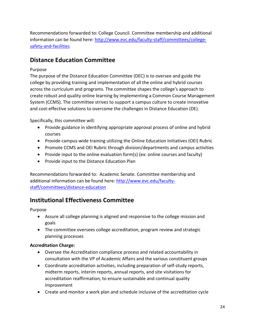Recommendations forwarded to: College Council. Committee membership and additional information can be found here: [http://www.evc.edu/faculty-staff/committees/college](http://www.evc.edu/faculty-staff/committees/college-safety-and-facilities)[safety-and-facilities](http://www.evc.edu/faculty-staff/committees/college-safety-and-facilities)

### <span id="page-23-0"></span>**Distance Education Committee**

#### Purpose

The purpose of the Distance Education Committee (DEC) is to oversee and guide the college by providing training and implementation of all the online and hybrid courses across the curriculum and programs. The committee shapes the college's approach to create robust and quality online learning by implementing a Common Course Management System (CCMS). The committee strives to support a campus culture to create innovative and cost-effective solutions to overcome the challenges in Distance Education (DE).

Specifically, this committee will:

- Provide guidance in identifying appropriate approval process of online and hybrid courses
- Provide campus-wide training utilizing the Online Education Initiatives (OEI) Rubric
- Promote CCMS and OEI Rubric through division/departments and campus activities
- Provide input to the online evaluation form(s) (ex: online courses and faculty)
- Provide input to the Distance Education Plan

Recommendations forwarded to: Academic Senate. Committee membership and additional information can be found here: [http://www.evc.edu/faculty](http://www.evc.edu/faculty-staff/committees/distance-education)[staff/committees/distance-education](http://www.evc.edu/faculty-staff/committees/distance-education)

### <span id="page-23-1"></span>**Institutional Effectiveness Committee**

Purpose

- Assure all college planning is aligned and responsive to the college mission and goals
- The committee oversees college accreditation, program review and strategic planning processes

#### **Accreditation Charge:**

- Oversee the Accreditation compliance process and related accountability in consultation with the VP of Academic Affairs and the various constituent groups
- Coordinate accreditation activities, including preparation of self-study reports, midterm reports, interim reports, annual reports, and site visitations for accreditation reaffirmation, to ensure sustainable and continual quality improvement
- Create and monitor a work plan and schedule inclusive of the accreditation cycle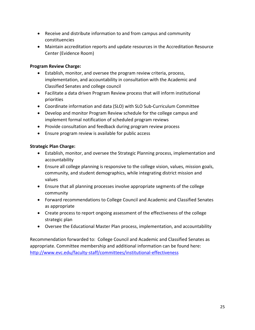- Receive and distribute information to and from campus and community constituencies
- Maintain accreditation reports and update resources in the Accreditation Resource Center (Evidence Room)

#### **Program Review Charge:**

- Establish, monitor, and oversee the program review criteria, process, implementation, and accountability in consultation with the Academic and Classified Senates and college council
- Facilitate a data driven Program Review process that will inform institutional priorities
- Coordinate information and data (SLO) with SLO Sub-Curriculum Committee
- Develop and monitor Program Review schedule for the college campus and implement formal notification of scheduled program reviews
- Provide consultation and feedback during program review process
- Ensure program review is available for public access

#### **Strategic Plan Charge:**

- Establish, monitor, and oversee the Strategic Planning process, implementation and accountability
- Ensure all college planning is responsive to the college vision, values, mission goals, community, and student demographics, while integrating district mission and values
- Ensure that all planning processes involve appropriate segments of the college community
- Forward recommendations to College Council and Academic and Classified Senates as appropriate
- Create process to report ongoing assessment of the effectiveness of the college strategic plan
- Oversee the Educational Master Plan process, implementation, and accountability

<span id="page-24-0"></span>Recommendation forwarded to: College Council and Academic and Classified Senates as appropriate. Committee membership and additional information can be found here: <http://www.evc.edu/faculty-staff/committees/institutional-effectiveness>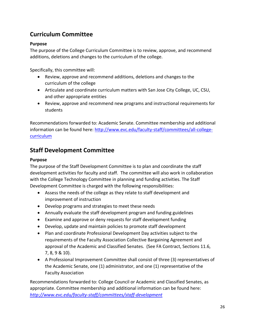### **Curriculum Committee**

#### **Purpose**

The purpose of the College Curriculum Committee is to review, approve, and recommend additions, deletions and changes to the curriculum of the college.

Specifically, this committee will:

- Review, approve and recommend additions, deletions and changes to the curriculum of the college
- Articulate and coordinate curriculum matters with San Jose City College, UC, CSU, and other appropriate entities
- Review, approve and recommend new programs and instructional requirements for students

Recommendations forwarded to: Academic Senate. Committee membership and additional information can be found here: [http://www.evc.edu/faculty-staff/committees/all-college](http://www.evc.edu/faculty-staff/committees/all-college-curriculum)[curriculum](http://www.evc.edu/faculty-staff/committees/all-college-curriculum)

### <span id="page-25-0"></span>**Staff Development Committee**

#### **Purpose**

The purpose of the Staff Development Committee is to plan and coordinate the staff development activities for faculty and staff. The committee will also work in collaboration with the College Technology Committee in planning and funding activities. The Staff Development Committee is charged with the following responsibilities:

- Assess the needs of the college as they relate to staff development and improvement of instruction
- Develop programs and strategies to meet these needs
- Annually evaluate the staff development program and funding guidelines
- Examine and approve or deny requests for staff development funding
- Develop, update and maintain policies to promote staff development
- Plan and coordinate Professional Development Day activities subject to the requirements of the Faculty Association Collective Bargaining Agreement and approval of the Academic and Classified Senates. (See FA Contract, Sections 11.6, 7, 8, 9 & 10).
- A Professional Improvement Committee shall consist of three (3) representatives of the Academic Senate, one (1) administrator, and one (1) representative of the Faculty Association

Recommendations forwarded to: College Council or Academic and Classified Senates, as appropriate. Committee membership and additional information can be found here: *<http://www.evc.edu/faculty-staff/committees/staff-development>*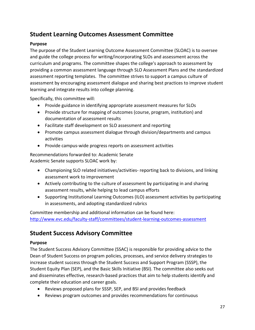### <span id="page-26-0"></span>**Student Learning Outcomes Assessment Committee**

#### **Purpose**

The purpose of the Student Learning Outcome Assessment Committee (SLOAC) is to oversee and guide the college process for writing/incorporating SLOs and assessment across the curriculum and programs. The committee shapes the college's approach to assessment by providing a common assessment language through SLO Assessment Plans and the standardized assessment reporting templates. The committee strives to support a campus culture of assessment by encouraging assessment dialogue and sharing best practices to improve student learning and integrate results into college planning.

Specifically, this committee will:

- Provide guidance in identifying appropriate assessment measures for SLOs
- Provide structure for mapping of outcomes (course, program, institution) and documentation of assessment results
- Facilitate staff development on SLO assessment and reporting
- Promote campus assessment dialogue through division/departments and campus activities
- Provide campus-wide progress reports on assessment activities

Recommendations forwarded to: Academic Senate Academic Senate supports SLOAC work by:

- Championing SLO related initiatives/activities- reporting back to divisions, and linking assessment work to improvement
- Actively contributing to the culture of assessment by participating in and sharing assessment results, while helping to lead campus efforts
- Supporting Institutional Learning Outcomes (ILO) assessment activities by participating in assessments, and adopting standardized rubrics

Committee membership and additional information can be found here: <http://www.evc.edu/faculty-staff/committees/student-learning-outcomes-assessment>

### <span id="page-26-1"></span>**Student Success Advisory Committee**

#### **Purpose**

The Student Success Advisory Committee (SSAC) is responsible for providing advice to the Dean of Student Success on program policies, processes, and service delivery strategies to increase student success through the Student Success and Support Program (SSSP), the Student Equity Plan (SEP), and the Basic Skills Initiative (BSI). The committee also seeks out and disseminates effective, research-based practices that aim to help students identify and complete their education and career goals.

- Reviews proposed plans for SSSP, SEP, and BSI and provides feedback
- Reviews program outcomes and provides recommendations for continuous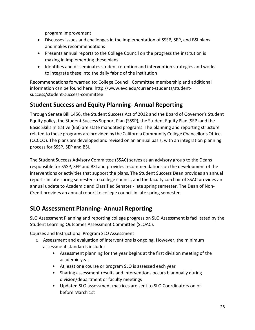program improvement

- Discusses issues and challenges in the implementation of SSSP, SEP, and BSI plans and makes recommendations
- Presents annual reports to the College Council on the progress the institution is making in implementing these plans
- Identifies and disseminates student retention and intervention strategies and works to integrate these into the daily fabric of the institution

Recommendations forwarded to: College Council. Committee membership and additional information can be found here: [http://www.evc.edu/current-students/student](http://www.evc.edu/current-students/student-success/student-success-committee)[success/student-success-committee](http://www.evc.edu/current-students/student-success/student-success-committee)

### <span id="page-27-0"></span>**Student Success and Equity Planning- Annual Reporting**

Through Senate Bill 1456, the Student Success Act of 2012 and the Board of Governor's Student Equity policy, the Student Success Support Plan (SSSP), the Student Equity Plan (SEP) and the Basic Skills Initiative (BSI) are state mandated programs. The planning and reporting structure related to these programs are provided by the California Community College Chancellor's Office (CCCCO). The plans are developed and revised on an annual basis, with an integration planning process for SSSP, SEP and BSI.

The Student Success Advisory Committee (SSAC) serves as an advisory group to the Deans responsible for SSSP, SEP and BSI and provides recommendations on the development of the interventions or activities that support the plans. The Student Success Dean provides an annual report - in late spring semester -to college council, and the faculty co-chair of SSAC provides an annual update to Academic and Classified Senates - late spring semester. The Dean of Non-Credit provides an annual report to college council in late spring semester.

### <span id="page-27-1"></span>**SLO Assessment Planning- Annual Reporting**

SLO Assessment Planning and reporting college progress on SLO Assessment is facilitated by the Student Learning Outcomes Assessment Committee (SLOAC).

#### Courses and Instructional Program SLO Assessment

- o Assessment and evaluation of interventions is ongoing. However, the minimum assessment standards include:
	- Assessment planning for the year begins at the first division meeting of the academic year
	- At least one course or program SLO is assessed each year
	- Sharing assessment results and interventions occurs biannually during division/department or faculty meetings
	- Updated SLO assessment matrices are sent to SLO Coordinators on or before March 1st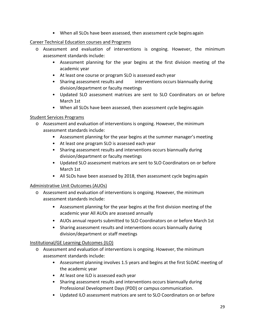• When all SLOs have been assessed, then assessment cycle begins again

#### Career Technical Education courses and Programs

- o Assessment and evaluation of interventions is ongoing. However, the minimum assessment standards include:
	- Assessment planning for the year begins at the first division meeting of the academic year
	- At least one course or program SLO is assessed each year
	- Sharing assessment results and interventions occurs biannually during division/department or faculty meetings
	- Updated SLO assessment matrices are sent to SLO Coordinators on or before March 1st
	- When all SLOs have been assessed, then assessment cycle begins again

#### Student Services Programs

- o Assessment and evaluation of interventions is ongoing. However, the minimum assessment standards include:
	- Assessment planning for the year begins at the summer manager's meeting
	- At least one program SLO is assessed each year
	- Sharing assessment results and interventions occurs biannually during division/department or faculty meetings
	- Updated SLO assessment matrices are sent to SLO Coordinators on or before March 1st
	- All SLOs have been assessed by 2018, then assessment cycle begins again

#### Administrative Unit Outcomes (AUOs)

- o Assessment and evaluation of interventions is ongoing. However, the minimum assessment standards include:
	- Assessment planning for the year begins at the first division meeting of the academic year All AUOs are assessed annually
	- AUOs annual reports submitted to SLO Coordinators on or before March 1st
	- Sharing assessment results and interventions occurs biannually during division/department or staff meetings

#### Institutional/GE Learning Outcomes (ILO)

- o Assessment and evaluation of interventions is ongoing. However, the minimum assessment standards include:
	- Assessment planning involves 1.5 years and begins at the first SLOAC meeting of the academic year
	- At least one ILO is assessed each year
	- Sharing assessment results and interventions occurs biannually during Professional Development Days (PDD) or campus communication.
	- Updated ILO assessment matrices are sent to SLO Coordinators on or before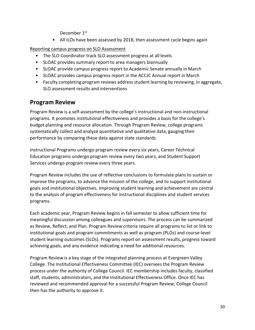December 1st

• All ILOs have been assessed by 2018, then assessment cycle begins again

Reporting campus progress on SLO Assessment

- The SLO Coordinator track SLO assessment progress at all levels
- SLOAC provides summary report to area managers biannually
- SLOAC provide campus progress report to Academic Senate annually in March
- SLOAC provides campus progress report in the ACCJC Annual report in March
- Faculty completing program reviews address student learning by reviewing, in aggregate, SLO assessment results and interventions

### <span id="page-29-0"></span>**Program Review**

Program Review is a self-assessment by the college's instructional and non-instructional programs. It promotes institutional effectiveness and provides a basis for the college's budget planning and resource allocation. Through Program Review, college programs systematically collect and analyze quantitative and qualitative data, gauging their performance by comparing these data against state standards.

Instructional Programs undergo program review every six years, Career Technical Education programs undergo program review every two years, and Student Support Services undergo program review every three years.

Program Review includes the use of reflective conclusions to formulate plans to sustain or improve the programs, to advance the mission of the college, and to support institutional goals and institutional objectives. Improving student learning and achievement are central to the analysis of program effectiveness for instructional disciplines and student services programs.

Each academic year, Program Review begins in fall semester to allow sufficient time for meaningful discussion among colleagues and supervisors. The process can be summarized as Review, Reflect, and Plan. Program Review criteria require all programs to list or link to institutional goals and program commitments as well as program (PLOs) and course-level student learning outcomes (SLOs). Programs report on assessment results, progress toward achieving goals, and any evidence indicating a need for additional resources.

Program Review is a key stage of the integrated planning process at Evergreen Valley College. The Institutional Effectiveness Committee (IEC) oversees the Program Review process under the authority of College Council. IEC membership includes faculty, classified staff, students, administrators, and the Institutional Effectiveness Office. Once IEC has reviewed and recommended approval for a successful Program Review, College Council then has the authority to approve it.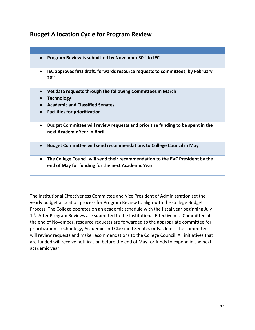### <span id="page-30-0"></span>**Budget Allocation Cycle for Program Review**

| Program Review is submitted by November 30 <sup>th</sup> to IEC                                                                                                                  |
|----------------------------------------------------------------------------------------------------------------------------------------------------------------------------------|
| IEC approves first draft, forwards resource requests to committees, by February<br>$\bullet$<br>28 <sup>th</sup>                                                                 |
| Vet data requests through the following Committees in March:<br><b>Technology</b><br><b>Academic and Classified Senates</b><br><b>Facilities for prioritization</b><br>$\bullet$ |
| Budget Committee will review requests and prioritize funding to be spent in the<br>$\bullet$<br>next Academic Year in April                                                      |
| Budget Committee will send recommendations to College Council in May<br>$\bullet$                                                                                                |
| The College Council will send their recommendation to the EVC President by the<br>$\bullet$<br>end of May for funding for the next Academic Year                                 |

The Institutional Effectiveness Committee and Vice President of Administration set the yearly budget allocation process for Program Review to align with the College Budget Process. The College operates on an academic schedule with the fiscal year beginning July 1st. After Program Reviews are submitted to the Institutional Effectiveness Committee at the end of November, resource requests are forwarded to the appropriate committee for prioritization: Technology, Academic and Classified Senates or Facilities. The committees will review requests and make recommendations to the College Council. All initiatives that are funded will receive notification before the end of May for funds to expend in the next academic year.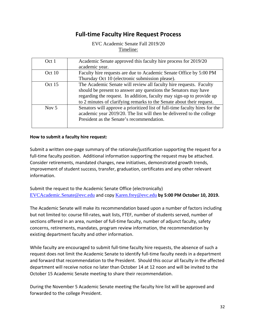### **Full-time Faculty Hire Request Process**

EVC Academic Senate Fall 2019/20 Timeline:

<span id="page-31-0"></span>

| Oct 1   | Academic Senate approved this faculty hire process for 2019/20              |
|---------|-----------------------------------------------------------------------------|
|         | academic year.                                                              |
| Oct 10  | Faculty hire requests are due to Academic Senate Office by 5:00 PM          |
|         | Thursday Oct 10 (electronic submission please).                             |
| Oct 15  | The Academic Senate will review all faculty hire requests. Faculty          |
|         | should be present to answer any questions the Senators may have             |
|         | regarding the request. In addition, faculty may sign-up to provide up       |
|         | to 2 minutes of clarifying remarks to the Senate about their request.       |
| Nov $5$ | Senators will approve a prioritized list of full-time faculty hires for the |
|         | academic year 2019/20. The list will then be delivered to the college       |
|         | President as the Senate's recommendation.                                   |
|         |                                                                             |

#### **How to submit a faculty hire request:**

Submit a written one-page summary of the rationale/justification supporting the request for a full-time faculty position. Additional information supporting the request may be attached. Consider retirements, mandated changes, new initiatives, demonstrated growth trends, improvement of student success, transfer, graduation, certificates and any other relevant information.

Submit the request to the Academic Senate Office (electronically) [EVCAcademic.Senate@evc.edu](mailto:EVCAcademic.Senate@evc.edu) and copy [Karen.frey@evc.edu](mailto:Karen.frey@evc.edu) **by 5:00 PM October 10, 2019.**

The Academic Senate will make its recommendation based upon a number of factors including but not limited to: course fill-rates, wait lists, FTEF, number of students served, number of sections offered in an area, number of full-time faculty, number of adjunct faculty, safety concerns, retirements, mandates, program review information, the recommendation by existing department faculty and other information.

While faculty are encouraged to submit full-time faculty hire requests, the absence of such a request does not limit the Academic Senate to identify full-time faculty needs in a department and forward that recommendation to the President. Should this occur all faculty in the affected department will receive notice no later than October 14 at 12 noon and will be invited to the October 15 Academic Senate meeting to share their recommendation.

During the November 5 Academic Senate meeting the faculty hire list will be approved and forwarded to the college President.